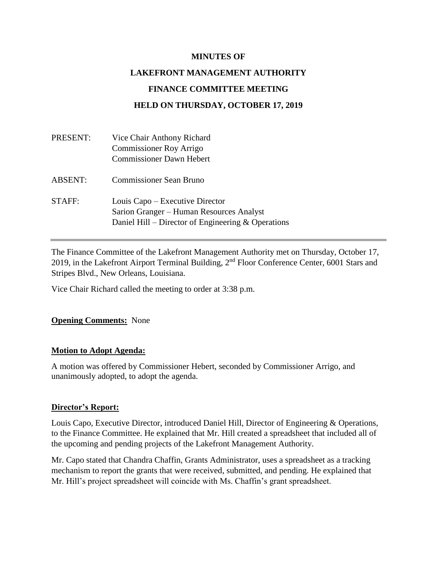#### **MINUTES OF**

# **LAKEFRONT MANAGEMENT AUTHORITY FINANCE COMMITTEE MEETING HELD ON THURSDAY, OCTOBER 17, 2019**

| PRESENT:       | Vice Chair Anthony Richard                                                                                                          |
|----------------|-------------------------------------------------------------------------------------------------------------------------------------|
|                | <b>Commissioner Roy Arrigo</b>                                                                                                      |
|                | <b>Commissioner Dawn Hebert</b>                                                                                                     |
| <b>ABSENT:</b> | <b>Commissioner Sean Bruno</b>                                                                                                      |
| STAFF:         | Louis Capo – Executive Director<br>Sarion Granger – Human Resources Analyst<br>Daniel Hill – Director of Engineering $&$ Operations |

The Finance Committee of the Lakefront Management Authority met on Thursday, October 17, 2019, in the Lakefront Airport Terminal Building, 2nd Floor Conference Center, 6001 Stars and Stripes Blvd., New Orleans, Louisiana.

Vice Chair Richard called the meeting to order at 3:38 p.m.

#### **Opening Comments:** None

#### **Motion to Adopt Agenda:**

A motion was offered by Commissioner Hebert, seconded by Commissioner Arrigo, and unanimously adopted, to adopt the agenda.

#### **Director's Report:**

Louis Capo, Executive Director, introduced Daniel Hill, Director of Engineering & Operations, to the Finance Committee. He explained that Mr. Hill created a spreadsheet that included all of the upcoming and pending projects of the Lakefront Management Authority.

Mr. Capo stated that Chandra Chaffin, Grants Administrator, uses a spreadsheet as a tracking mechanism to report the grants that were received, submitted, and pending. He explained that Mr. Hill's project spreadsheet will coincide with Ms. Chaffin's grant spreadsheet.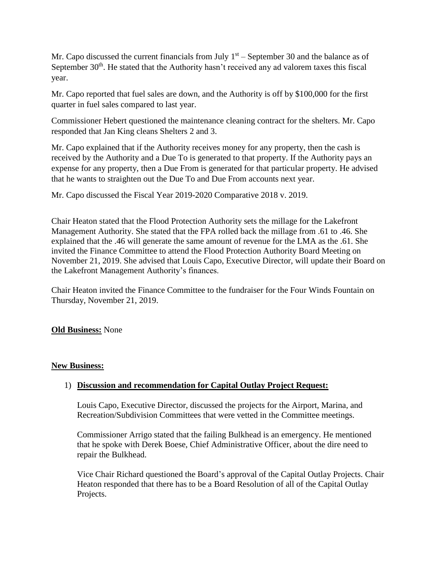Mr. Capo discussed the current financials from July  $1<sup>st</sup>$  – September 30 and the balance as of September 30<sup>th</sup>. He stated that the Authority hasn't received any ad valorem taxes this fiscal year.

Mr. Capo reported that fuel sales are down, and the Authority is off by \$100,000 for the first quarter in fuel sales compared to last year.

Commissioner Hebert questioned the maintenance cleaning contract for the shelters. Mr. Capo responded that Jan King cleans Shelters 2 and 3.

Mr. Capo explained that if the Authority receives money for any property, then the cash is received by the Authority and a Due To is generated to that property. If the Authority pays an expense for any property, then a Due From is generated for that particular property. He advised that he wants to straighten out the Due To and Due From accounts next year.

Mr. Capo discussed the Fiscal Year 2019-2020 Comparative 2018 v. 2019.

Chair Heaton stated that the Flood Protection Authority sets the millage for the Lakefront Management Authority. She stated that the FPA rolled back the millage from .61 to .46. She explained that the .46 will generate the same amount of revenue for the LMA as the .61. She invited the Finance Committee to attend the Flood Protection Authority Board Meeting on November 21, 2019. She advised that Louis Capo, Executive Director, will update their Board on the Lakefront Management Authority's finances.

Chair Heaton invited the Finance Committee to the fundraiser for the Four Winds Fountain on Thursday, November 21, 2019.

#### **Old Business:** None

#### **New Business:**

### 1) **Discussion and recommendation for Capital Outlay Project Request:**

Louis Capo, Executive Director, discussed the projects for the Airport, Marina, and Recreation/Subdivision Committees that were vetted in the Committee meetings.

Commissioner Arrigo stated that the failing Bulkhead is an emergency. He mentioned that he spoke with Derek Boese, Chief Administrative Officer, about the dire need to repair the Bulkhead.

Vice Chair Richard questioned the Board's approval of the Capital Outlay Projects. Chair Heaton responded that there has to be a Board Resolution of all of the Capital Outlay Projects.